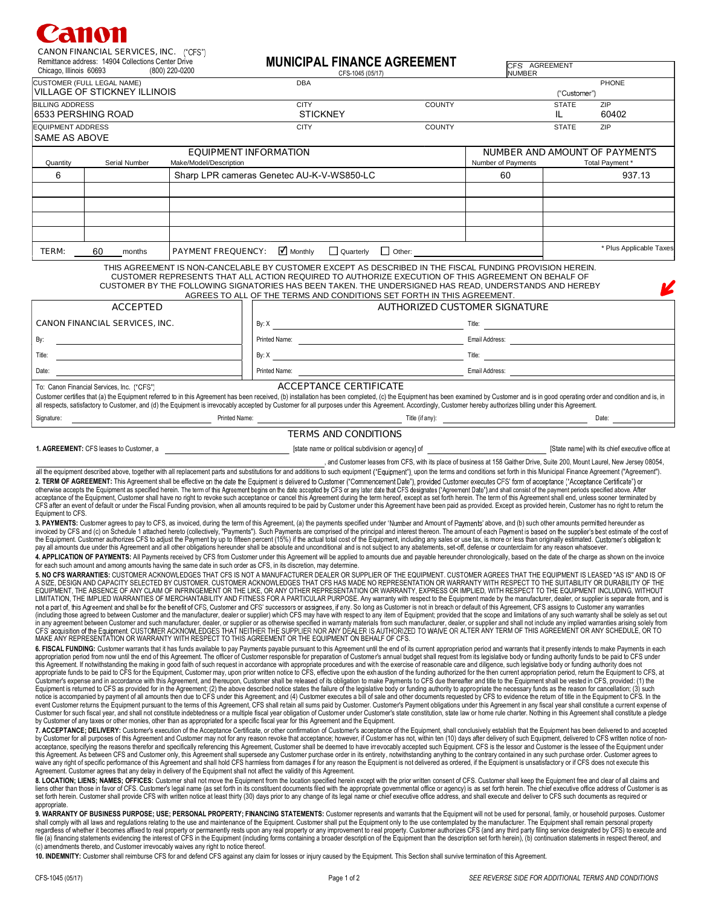## 711 V 1

| <b>CANON FINANCIAL SERVICES, INC.</b> ("CFS")      |                |  |  |  |  |
|----------------------------------------------------|----------------|--|--|--|--|
| Remittance address: 14904 Collections Center Drive |                |  |  |  |  |
| Chicago. Illinois 60693                            | (800) 220-0200 |  |  |  |  |

| Chicago, Illinois 60693                                                                     | Religious audiess. Through Conscious Center Drive          | (800) 220-0200         |  | <b>MUNICIPAL FINANCE AUREEMENT</b><br>CFS-1045 (05/17)                                                                                                                                                                                                                                                                                                                                                                                                                                                                                                                                                                                                                                    |                                      | CFS AGREEMENT<br><b>NUMBER</b>                  |                    |                         |  |
|---------------------------------------------------------------------------------------------|------------------------------------------------------------|------------------------|--|-------------------------------------------------------------------------------------------------------------------------------------------------------------------------------------------------------------------------------------------------------------------------------------------------------------------------------------------------------------------------------------------------------------------------------------------------------------------------------------------------------------------------------------------------------------------------------------------------------------------------------------------------------------------------------------------|--------------------------------------|-------------------------------------------------|--------------------|-------------------------|--|
|                                                                                             | CUSTOMER (FULL LEGAL NAME)<br>VILLAGE OF STICKNEY ILLINOIS |                        |  | <b>DBA</b>                                                                                                                                                                                                                                                                                                                                                                                                                                                                                                                                                                                                                                                                                |                                      |                                                 |                    | PHONE                   |  |
|                                                                                             |                                                            |                        |  |                                                                                                                                                                                                                                                                                                                                                                                                                                                                                                                                                                                                                                                                                           |                                      |                                                 | ("Customer")       |                         |  |
| <b>BILLING ADDRESS</b>                                                                      | 6533 PERSHING ROAD                                         |                        |  | <b>CITY</b><br><b>STICKNEY</b>                                                                                                                                                                                                                                                                                                                                                                                                                                                                                                                                                                                                                                                            | <b>COUNTY</b>                        |                                                 | <b>STATE</b><br>IL | ZIP<br>60402            |  |
| <b>EQUIPMENT ADDRESS</b>                                                                    |                                                            |                        |  | <b>CITY</b>                                                                                                                                                                                                                                                                                                                                                                                                                                                                                                                                                                                                                                                                               | <b>COUNTY</b>                        |                                                 | <b>STATE</b>       | ZIP                     |  |
| SAME AS ABOVE                                                                               |                                                            |                        |  |                                                                                                                                                                                                                                                                                                                                                                                                                                                                                                                                                                                                                                                                                           |                                      |                                                 |                    |                         |  |
|                                                                                             |                                                            |                        |  | <b>EQUIPMENT INFORMATION</b>                                                                                                                                                                                                                                                                                                                                                                                                                                                                                                                                                                                                                                                              |                                      | <b>NUMBER AND AMOUNT OF PAYMENTS</b>            |                    |                         |  |
| Quantity                                                                                    | Serial Number                                              | Make/Model/Description |  |                                                                                                                                                                                                                                                                                                                                                                                                                                                                                                                                                                                                                                                                                           |                                      | Number of Payments                              |                    | Total Payment *         |  |
| 6                                                                                           |                                                            |                        |  | Sharp LPR cameras Genetec AU-K-V-WS850-LC                                                                                                                                                                                                                                                                                                                                                                                                                                                                                                                                                                                                                                                 |                                      | 60                                              |                    | 937.13                  |  |
|                                                                                             |                                                            |                        |  |                                                                                                                                                                                                                                                                                                                                                                                                                                                                                                                                                                                                                                                                                           |                                      |                                                 |                    |                         |  |
|                                                                                             |                                                            |                        |  |                                                                                                                                                                                                                                                                                                                                                                                                                                                                                                                                                                                                                                                                                           |                                      |                                                 |                    |                         |  |
|                                                                                             |                                                            |                        |  |                                                                                                                                                                                                                                                                                                                                                                                                                                                                                                                                                                                                                                                                                           |                                      |                                                 |                    |                         |  |
|                                                                                             |                                                            |                        |  |                                                                                                                                                                                                                                                                                                                                                                                                                                                                                                                                                                                                                                                                                           |                                      |                                                 |                    |                         |  |
| Monthly<br>Quarterly<br><b>PAYMENT FREQUENCY:</b><br>$\Box$ Other:<br>TERM:<br>60<br>months |                                                            |                        |  |                                                                                                                                                                                                                                                                                                                                                                                                                                                                                                                                                                                                                                                                                           |                                      |                                                 |                    | * Plus Applicable Taxes |  |
|                                                                                             |                                                            |                        |  | THIS AGREEMENT IS NON-CANCELABLE BY CUSTOMER EXCEPT AS DESCRIBED IN THE FISCAL FUNDING PROVISION HEREIN.<br>CUSTOMER REPRESENTS THAT ALL ACTION REQUIRED TO AUTHORIZE EXECUTION OF THIS AGREEMENT ON BEHALF OF<br>CUSTOMER BY THE FOLLOWING SIGNATORIES HAS BEEN TAKEN. THE UNDERSIGNED HAS READ, UNDERSTANDS AND HEREBY<br>AGREES TO ALL OF THE TERMS AND CONDITIONS SET FORTH IN THIS AGREEMENT.                                                                                                                                                                                                                                                                                        |                                      |                                                 |                    |                         |  |
| <b>ACCEPTED</b>                                                                             |                                                            |                        |  |                                                                                                                                                                                                                                                                                                                                                                                                                                                                                                                                                                                                                                                                                           | <b>AUTHORIZED CUSTOMER SIGNATURE</b> |                                                 |                    |                         |  |
| <b>CANON FINANCIAL SERVICES, INC.</b>                                                       |                                                            |                        |  |                                                                                                                                                                                                                                                                                                                                                                                                                                                                                                                                                                                                                                                                                           |                                      |                                                 |                    |                         |  |
| By:                                                                                         |                                                            |                        |  | Printed Name: Email Address: Email Address: Email Address:                                                                                                                                                                                                                                                                                                                                                                                                                                                                                                                                                                                                                                |                                      |                                                 |                    |                         |  |
| Title:                                                                                      |                                                            |                        |  | By: $X$ Title:                                                                                                                                                                                                                                                                                                                                                                                                                                                                                                                                                                                                                                                                            |                                      |                                                 |                    |                         |  |
| Date:                                                                                       |                                                            |                        |  |                                                                                                                                                                                                                                                                                                                                                                                                                                                                                                                                                                                                                                                                                           |                                      |                                                 |                    |                         |  |
|                                                                                             | To: Canon Financial Services, Inc. ("CFS")                 |                        |  | <b>ACCEPTANCE CERTIFICATE</b>                                                                                                                                                                                                                                                                                                                                                                                                                                                                                                                                                                                                                                                             |                                      |                                                 |                    |                         |  |
|                                                                                             |                                                            |                        |  | Customer certifies that (a) the Equipment referred to in this Agreement has been received, (b) installation has been completed, (c) the Equipment has been examined by Customer and is in good operating order and condition a<br>all respects, satisfactory to Customer, and (d) the Equipment is irrevocably accepted by Customer for all purposes under this Agreement. Accordingly, Customer hereby authorizes billing under this Agreement.                                                                                                                                                                                                                                          |                                      |                                                 |                    |                         |  |
| Signature:                                                                                  |                                                            | Printed Name:          |  |                                                                                                                                                                                                                                                                                                                                                                                                                                                                                                                                                                                                                                                                                           |                                      | Title (if any): $\overline{\qquad \qquad }$     |                    | Date:                   |  |
|                                                                                             |                                                            |                        |  | <b>TERMS AND CONDITIONS</b>                                                                                                                                                                                                                                                                                                                                                                                                                                                                                                                                                                                                                                                               |                                      |                                                 |                    |                         |  |
|                                                                                             | 1. AGREEMENT: CFS leases to Customer, a                    |                        |  | [state name or political subdivision or agency] of                                                                                                                                                                                                                                                                                                                                                                                                                                                                                                                                                                                                                                        |                                      | [State name] with its chief executive office at |                    |                         |  |
|                                                                                             |                                                            |                        |  | , and Customer leases from CFS, with its place of business at 158 Gaither Drive, Suite 200, Mount Laurel, New Jersey 08054,                                                                                                                                                                                                                                                                                                                                                                                                                                                                                                                                                               |                                      |                                                 |                    |                         |  |
|                                                                                             |                                                            |                        |  | all the equipment described above, together with all replacement parts and substitutions for and additions to such equipment ("Equipment"), upon the terms and conditions set forth in this Municipal Finance Agreement ("Agre                                                                                                                                                                                                                                                                                                                                                                                                                                                            |                                      |                                                 |                    |                         |  |
|                                                                                             |                                                            |                        |  | 2. TERM OF AGREEMENT: This Agreement shall be effective on the date the Equipment is delivered to Customer ("Commencement Date"), provided Customer executes CFS' form of acceptance ("Acceptance Certificate") or                                                                                                                                                                                                                                                                                                                                                                                                                                                                        |                                      |                                                 |                    |                         |  |
|                                                                                             |                                                            |                        |  | otherwise accepts the Equipment as specified herein. The term of this Agreement begins on the date accepted by CFS or any later date that CFS designates ("Agreement Date") and shall consist of the payment periods specified                                                                                                                                                                                                                                                                                                                                                                                                                                                            |                                      |                                                 |                    |                         |  |
|                                                                                             |                                                            |                        |  | acceptance of the Equipment, Customer shall have no right to revoke such acceptance or cancel this Agreement during the term hereof, except as set forth herein. The term of this Agreement shall end, unless sooner terminate<br>CFS after an event of default or under the Fiscal Funding provision, when all amounts required to be paid by Customer under this Agreement have been paid as provided. Except as provided herein, Customer has no right to ret                                                                                                                                                                                                                          |                                      |                                                 |                    |                         |  |
| Equipment to CFS.                                                                           |                                                            |                        |  |                                                                                                                                                                                                                                                                                                                                                                                                                                                                                                                                                                                                                                                                                           |                                      |                                                 |                    |                         |  |
|                                                                                             |                                                            |                        |  | 3. PAYMENTS: Customer agrees to pay to CFS, as invoiced, during the term of this Agreement, (a) the payments specified under "Number and Amount of Payments" above, and (b) such other amounts permitted hereunder as<br>invoiced by CFS and (c) on Schedule 1 attached hereto (collectively, "Payments"). Such Payments are comprised of the principal and interest thereon. The amount of each Payment is based on the supplier's best estimate of th<br>the Equipment. Customer authorizes CFS to adjust the Payment by up to fifteen percent (15%) if the actual total cost of the Equipment, including any sales or use tax, is more or less than originally estimated. Customer's o |                                      |                                                 |                    |                         |  |
|                                                                                             |                                                            |                        |  | and amounts due under this Agreement and all other obligations hereunder shall be absolute and unconditional and is not subject to any abatements, set-off, defense or counterclaim for any reason whatsoever.<br>4. APPLICATION OF PAYMENTS: All Payments received by CFS from Customer under this Agreement will be applied to amounts due and payable hereunder chronologically, based on the date of the charge as shown on the invoice                                                                                                                                                                                                                                               |                                      |                                                 |                    |                         |  |
|                                                                                             |                                                            |                        |  | for each such amount and among amounts having the same date in such order as CFS, in its discretion, may determine.                                                                                                                                                                                                                                                                                                                                                                                                                                                                                                                                                                       |                                      |                                                 |                    |                         |  |
|                                                                                             |                                                            |                        |  | 5. NO CFS WARRANTIES: CUSTOMER ACKNOWLEDGES THAT CFS IS NOT A MANUFACTURER DEALER OR SUPPLIER OF THE EQUIPMENT. CUSTOMER AGREES THAT THE EQUIPMENT IS LEASED "AS IS" AND IS OF<br>A SIZE, DESIGN AND CAPACITY SELECTED BY CUSTOMER. CUSTOMER ACKNOWLEDGES THAT CFS HAS MADE NO REPRESENTATION OR WARRANTY WITH RESPECT TO THE SUITABILITY OR DURABILITY OF THE<br>EQUIPMENT, THE ABSENCE OF ANY CLAIM OF INFRINGEMENT OR THE LIKE, OR ANY OTHER REPRESENTATION OR WARRANTY, EXPRESS OR IMPLIED, WITH RESPECT TO THE EQUIPMENT INCLUDING, WITHOUT                                                                                                                                          |                                      |                                                 |                    |                         |  |

MUNICIDAL EINANCE ACREEMENT

LIMITATION, THE IMPLIED WARRANTIES OF MERCHANTABILITY AND FITNESS FOR A PARTICULAR PURPOSE. Any warranty with respect to the Equipment made by the manufacturer, dealer, or supplier is separate from, and is not a part of, this Agreement and shall be for the benefit of CFS, Customer and CFS' successors or assignees, if any. So long as Customer is not in breach or default of this Agreement, CFS assigns to Customer any warrantie (including those agreed to between Customer and the manufacturer, dealer or supplier) which CFS may have with respect to any item of Equipment; provided that the scope and limitations of any such warranty shall be solely a CFS' acquisition of the Equipment. CUSTOMER ACKNOWLEDGES THAT NEITHER THE SUPPLIER NOR ANY DEALER IS AUTHORIZED TO WAIVE OR ALTER ANY TERM OF THIS AGREEMENT OR ANY SCHEDULE, OR TO<br>MAKE ANY REPRESENTATION OR WARRANTY WITH R

6. FISCAL FUNDING: Customer warrants that it has funds available to pay Payments payable pursuant to this Agreement until the end of its current appropriation period and warrants that it presently intends to make Payments appropriation period from now until the end of this Agreement. The officer of Customer responsible for preparation of Customer's annual budget shall request from its legislative body or funding authority funds to be paid t this Agreement. If notwithstanding the making in good faith of such request in accordance with appropriate procedures and with the exercise of reasonable care and diligence, such legislative body or funding authority does Customer's expense and in accordance with this Agreement, and thereupon, Customer shall be released of its obligation to make Payments to CFS due thereafter and title to the Equipment shall be vested in CFS, provided: (1) Equipment is returned to CFS as provided for in the Agreement; (2) the above described notice states the failure of the legislative body or funding authority to appropriate the necessary funds as the reason for cancellatio notice is accompanied by payment of all amounts then due to CFS under this Agreement; and (4) Customer executes a bill of sale and other documents requested by CFS to evidence the return of title in the Equipment to CFS. I by Customer of any taxes or other monies, other than as appropriated for a specific fiscal year for this Agreement and the Equipment.

**7. ACCEPTANCE; DELIVERY:** Customer's execution of the Acceptance Certificate, or other confirmation of Customer's acceptance of the Equipment, shall conclusively establish that the Equipment has been delivered to and acce this Agreement. As between CFS and Customer only, this Agreement shall supersede any Customer purchase order in its entirety, notwithstanding anything to the contrary contained in any such purchase order. Customer agrees t Agreement. Customer agrees that any delay in delivery of the Equipment shall not affect the validity of this Agreement.

8. LOCATION; LIENS; NAMES; OFFICES: Customer shall not move the Equipment from the location specified herein except with the prior written consent of CFS. Customer shall keep the Equipment free and clear of all claims and liens other than those in favor of CFS. Customer's legal name (as set forth in its constituent documents filed with the appropriate governmental office or agency) is as set forth herein. The chief executive office address appropriate

9. WARRANTY OF BUSINESS PURPOSE; USE; PERSONAL PROPERTY; FINANCING STATEMENTS: Customer represents and warrants that the Equipment will not be used for personal, family, or household purposes. Customer<br>shall comply with al regardless of whether it becomes affixed to real property or permanently rests upon any real property or any improvement to real property. Customer authorizes CFS (and any third party filing service designated by CFS) to e

10. INDEMNITY: Customer shall reimburse CFS for and defend CFS against any claim for losses or injury caused by the Equipment. This Section shall survive termination of this Agreement.